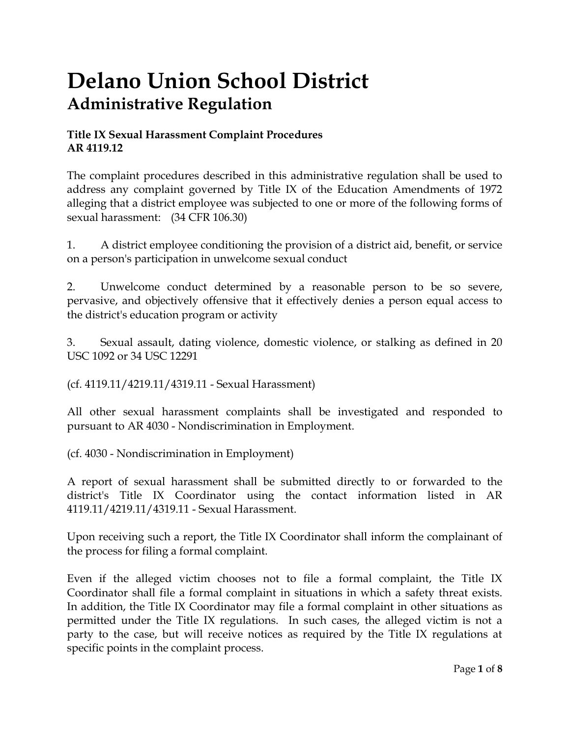# **Delano Union School District Administrative Regulation**

## **Title IX Sexual Harassment Complaint Procedures AR 4119.12**

The complaint procedures described in this administrative regulation shall be used to address any complaint governed by Title IX of the Education Amendments of 1972 alleging that a district employee was subjected to one or more of the following forms of sexual harassment: (34 CFR 106.30)

1. A district employee conditioning the provision of a district aid, benefit, or service on a person's participation in unwelcome sexual conduct

2. Unwelcome conduct determined by a reasonable person to be so severe, pervasive, and objectively offensive that it effectively denies a person equal access to the district's education program or activity

3. Sexual assault, dating violence, domestic violence, or stalking as defined in 20 USC 1092 or 34 USC 12291

(cf. 4119.11/4219.11/4319.11 - Sexual Harassment)

All other sexual harassment complaints shall be investigated and responded to pursuant to AR 4030 - Nondiscrimination in Employment.

(cf. 4030 - Nondiscrimination in Employment)

A report of sexual harassment shall be submitted directly to or forwarded to the district's Title IX Coordinator using the contact information listed in AR 4119.11/4219.11/4319.11 - Sexual Harassment.

Upon receiving such a report, the Title IX Coordinator shall inform the complainant of the process for filing a formal complaint.

Even if the alleged victim chooses not to file a formal complaint, the Title IX Coordinator shall file a formal complaint in situations in which a safety threat exists. In addition, the Title IX Coordinator may file a formal complaint in other situations as permitted under the Title IX regulations. In such cases, the alleged victim is not a party to the case, but will receive notices as required by the Title IX regulations at specific points in the complaint process.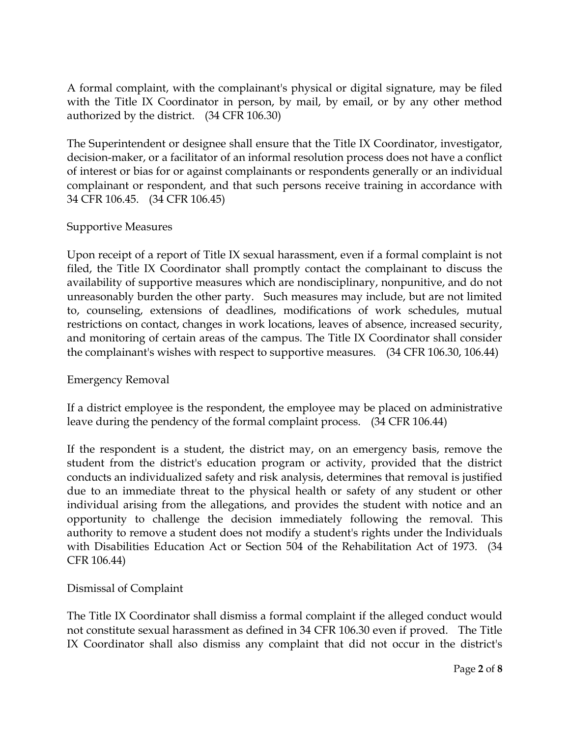A formal complaint, with the complainant's physical or digital signature, may be filed with the Title IX Coordinator in person, by mail, by email, or by any other method authorized by the district. (34 CFR 106.30)

The Superintendent or designee shall ensure that the Title IX Coordinator, investigator, decision-maker, or a facilitator of an informal resolution process does not have a conflict of interest or bias for or against complainants or respondents generally or an individual complainant or respondent, and that such persons receive training in accordance with 34 CFR 106.45. (34 CFR 106.45)

## Supportive Measures

Upon receipt of a report of Title IX sexual harassment, even if a formal complaint is not filed, the Title IX Coordinator shall promptly contact the complainant to discuss the availability of supportive measures which are nondisciplinary, nonpunitive, and do not unreasonably burden the other party. Such measures may include, but are not limited to, counseling, extensions of deadlines, modifications of work schedules, mutual restrictions on contact, changes in work locations, leaves of absence, increased security, and monitoring of certain areas of the campus. The Title IX Coordinator shall consider the complainant's wishes with respect to supportive measures. (34 CFR 106.30, 106.44)

## Emergency Removal

If a district employee is the respondent, the employee may be placed on administrative leave during the pendency of the formal complaint process. (34 CFR 106.44)

If the respondent is a student, the district may, on an emergency basis, remove the student from the district's education program or activity, provided that the district conducts an individualized safety and risk analysis, determines that removal is justified due to an immediate threat to the physical health or safety of any student or other individual arising from the allegations, and provides the student with notice and an opportunity to challenge the decision immediately following the removal. This authority to remove a student does not modify a student's rights under the Individuals with Disabilities Education Act or Section 504 of the Rehabilitation Act of 1973. (34 CFR 106.44)

#### Dismissal of Complaint

The Title IX Coordinator shall dismiss a formal complaint if the alleged conduct would not constitute sexual harassment as defined in 34 CFR 106.30 even if proved. The Title IX Coordinator shall also dismiss any complaint that did not occur in the district's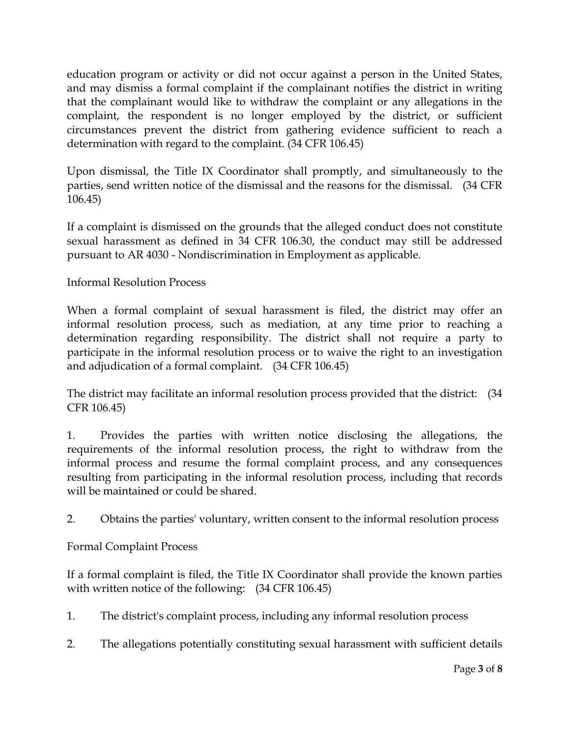education program or activity or did not occur against a person in the United States, and may dismiss a formal complaint if the complainant notifies the district in writing that the complainant would like to withdraw the complaint or any allegations in the complaint, the respondent is no longer employed by the district, or sufficient circumstances prevent the district from gathering evidence sufficient to reach a determination with regard to the complaint. (34 CFR 106.45)

Upon dismissal, the Title IX Coordinator shall promptly, and simultaneously to the parties, send written notice of the dismissal and the reasons for the dismissal. (34 CFR 106.45)

If a complaint is dismissed on the grounds that the alleged conduct does not constitute sexual harassment as defined in 34 CFR 106.30, the conduct may still be addressed pursuant to AR 4030 - Nondiscrimination in Employment as applicable.

## Informal Resolution Process

When a formal complaint of sexual harassment is filed, the district may offer an informal resolution process, such as mediation, at any time prior to reaching a determination regarding responsibility. The district shall not require a party to participate in the informal resolution process or to waive the right to an investigation and adjudication of a formal complaint. (34 CFR 106.45)

The district may facilitate an informal resolution process provided that the district: (34 CFR 106.45)

1. Provides the parties with written notice disclosing the allegations, the requirements of the informal resolution process, the right to withdraw from the informal process and resume the formal complaint process, and any consequences resulting from participating in the informal resolution process, including that records will be maintained or could be shared.

2. Obtains the parties' voluntary, written consent to the informal resolution process

Formal Complaint Process

If a formal complaint is filed, the Title IX Coordinator shall provide the known parties with written notice of the following: (34 CFR 106.45)

- 1. The district's complaint process, including any informal resolution process
- 2. The allegations potentially constituting sexual harassment with sufficient details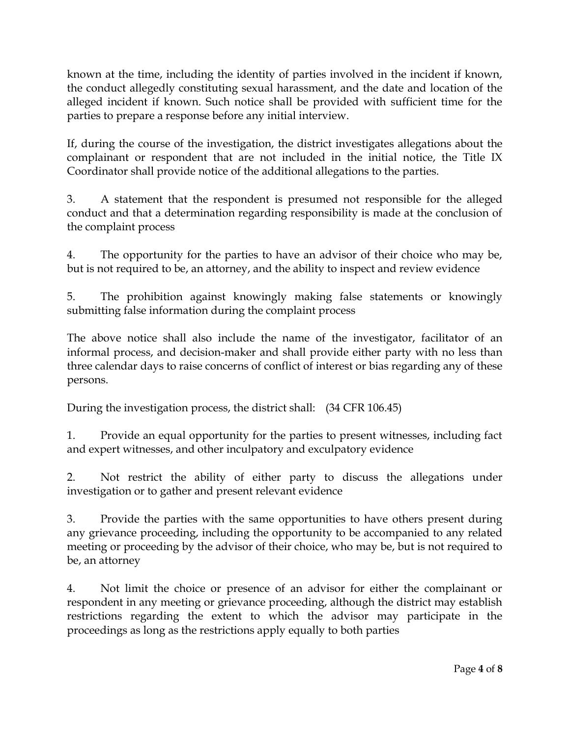known at the time, including the identity of parties involved in the incident if known, the conduct allegedly constituting sexual harassment, and the date and location of the alleged incident if known. Such notice shall be provided with sufficient time for the parties to prepare a response before any initial interview.

If, during the course of the investigation, the district investigates allegations about the complainant or respondent that are not included in the initial notice, the Title IX Coordinator shall provide notice of the additional allegations to the parties.

3. A statement that the respondent is presumed not responsible for the alleged conduct and that a determination regarding responsibility is made at the conclusion of the complaint process

4. The opportunity for the parties to have an advisor of their choice who may be, but is not required to be, an attorney, and the ability to inspect and review evidence

5. The prohibition against knowingly making false statements or knowingly submitting false information during the complaint process

The above notice shall also include the name of the investigator, facilitator of an informal process, and decision-maker and shall provide either party with no less than three calendar days to raise concerns of conflict of interest or bias regarding any of these persons.

During the investigation process, the district shall: (34 CFR 106.45)

1. Provide an equal opportunity for the parties to present witnesses, including fact and expert witnesses, and other inculpatory and exculpatory evidence

2. Not restrict the ability of either party to discuss the allegations under investigation or to gather and present relevant evidence

3. Provide the parties with the same opportunities to have others present during any grievance proceeding, including the opportunity to be accompanied to any related meeting or proceeding by the advisor of their choice, who may be, but is not required to be, an attorney

4. Not limit the choice or presence of an advisor for either the complainant or respondent in any meeting or grievance proceeding, although the district may establish restrictions regarding the extent to which the advisor may participate in the proceedings as long as the restrictions apply equally to both parties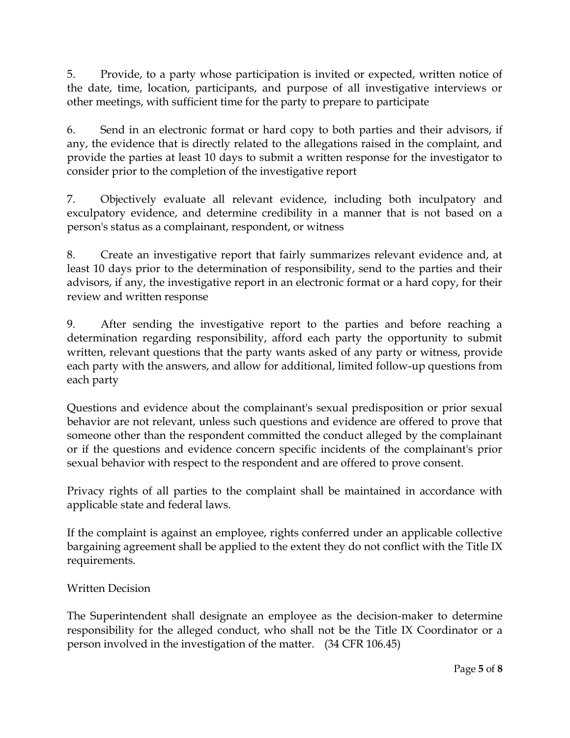5. Provide, to a party whose participation is invited or expected, written notice of the date, time, location, participants, and purpose of all investigative interviews or other meetings, with sufficient time for the party to prepare to participate

6. Send in an electronic format or hard copy to both parties and their advisors, if any, the evidence that is directly related to the allegations raised in the complaint, and provide the parties at least 10 days to submit a written response for the investigator to consider prior to the completion of the investigative report

7. Objectively evaluate all relevant evidence, including both inculpatory and exculpatory evidence, and determine credibility in a manner that is not based on a person's status as a complainant, respondent, or witness

8. Create an investigative report that fairly summarizes relevant evidence and, at least 10 days prior to the determination of responsibility, send to the parties and their advisors, if any, the investigative report in an electronic format or a hard copy, for their review and written response

9. After sending the investigative report to the parties and before reaching a determination regarding responsibility, afford each party the opportunity to submit written, relevant questions that the party wants asked of any party or witness, provide each party with the answers, and allow for additional, limited follow-up questions from each party

Questions and evidence about the complainant's sexual predisposition or prior sexual behavior are not relevant, unless such questions and evidence are offered to prove that someone other than the respondent committed the conduct alleged by the complainant or if the questions and evidence concern specific incidents of the complainant's prior sexual behavior with respect to the respondent and are offered to prove consent.

Privacy rights of all parties to the complaint shall be maintained in accordance with applicable state and federal laws.

If the complaint is against an employee, rights conferred under an applicable collective bargaining agreement shall be applied to the extent they do not conflict with the Title IX requirements.

## Written Decision

The Superintendent shall designate an employee as the decision-maker to determine responsibility for the alleged conduct, who shall not be the Title IX Coordinator or a person involved in the investigation of the matter. (34 CFR 106.45)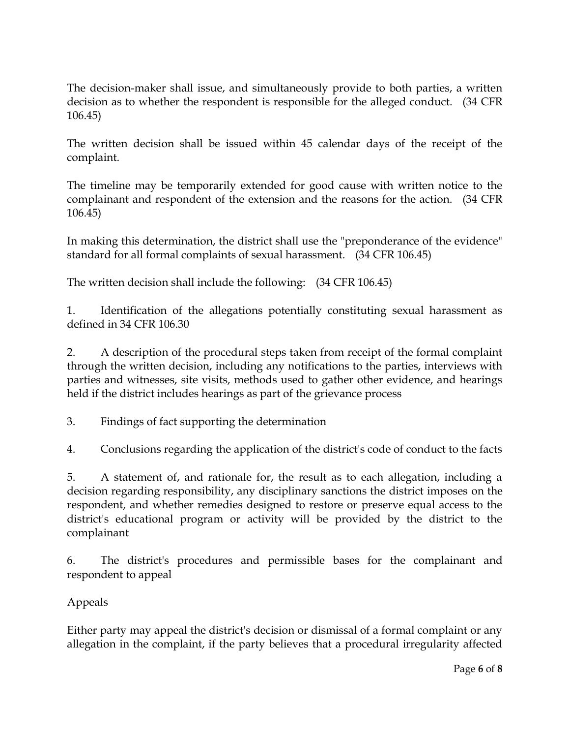The decision-maker shall issue, and simultaneously provide to both parties, a written decision as to whether the respondent is responsible for the alleged conduct. (34 CFR 106.45)

The written decision shall be issued within 45 calendar days of the receipt of the complaint.

The timeline may be temporarily extended for good cause with written notice to the complainant and respondent of the extension and the reasons for the action. (34 CFR 106.45)

In making this determination, the district shall use the "preponderance of the evidence" standard for all formal complaints of sexual harassment. (34 CFR 106.45)

The written decision shall include the following: (34 CFR 106.45)

1. Identification of the allegations potentially constituting sexual harassment as defined in 34 CFR 106.30

2. A description of the procedural steps taken from receipt of the formal complaint through the written decision, including any notifications to the parties, interviews with parties and witnesses, site visits, methods used to gather other evidence, and hearings held if the district includes hearings as part of the grievance process

3. Findings of fact supporting the determination

4. Conclusions regarding the application of the district's code of conduct to the facts

5. A statement of, and rationale for, the result as to each allegation, including a decision regarding responsibility, any disciplinary sanctions the district imposes on the respondent, and whether remedies designed to restore or preserve equal access to the district's educational program or activity will be provided by the district to the complainant

6. The district's procedures and permissible bases for the complainant and respondent to appeal

## Appeals

Either party may appeal the district's decision or dismissal of a formal complaint or any allegation in the complaint, if the party believes that a procedural irregularity affected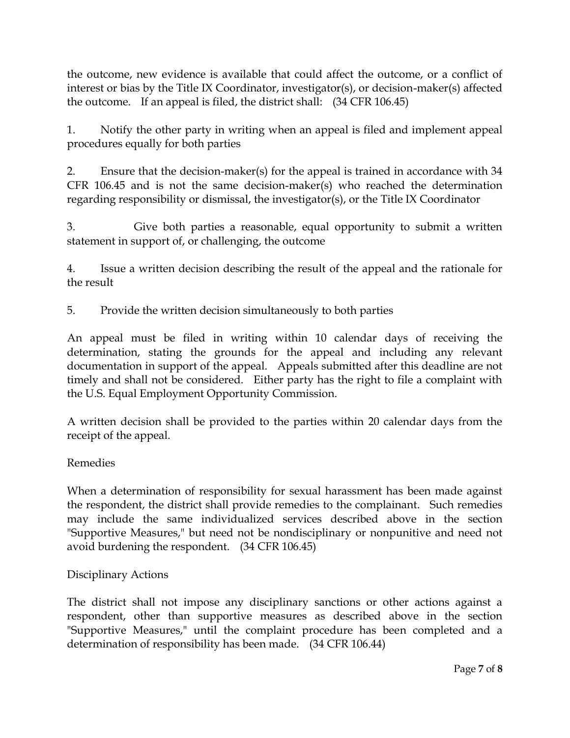the outcome, new evidence is available that could affect the outcome, or a conflict of interest or bias by the Title IX Coordinator, investigator(s), or decision-maker(s) affected the outcome. If an appeal is filed, the district shall: (34 CFR 106.45)

1. Notify the other party in writing when an appeal is filed and implement appeal procedures equally for both parties

2. Ensure that the decision-maker(s) for the appeal is trained in accordance with 34 CFR 106.45 and is not the same decision-maker(s) who reached the determination regarding responsibility or dismissal, the investigator(s), or the Title IX Coordinator

3. Give both parties a reasonable, equal opportunity to submit a written statement in support of, or challenging, the outcome

4. Issue a written decision describing the result of the appeal and the rationale for the result

5. Provide the written decision simultaneously to both parties

An appeal must be filed in writing within 10 calendar days of receiving the determination, stating the grounds for the appeal and including any relevant documentation in support of the appeal. Appeals submitted after this deadline are not timely and shall not be considered. Either party has the right to file a complaint with the U.S. Equal Employment Opportunity Commission.

A written decision shall be provided to the parties within 20 calendar days from the receipt of the appeal.

## Remedies

When a determination of responsibility for sexual harassment has been made against the respondent, the district shall provide remedies to the complainant. Such remedies may include the same individualized services described above in the section "Supportive Measures," but need not be nondisciplinary or nonpunitive and need not avoid burdening the respondent. (34 CFR 106.45)

## Disciplinary Actions

The district shall not impose any disciplinary sanctions or other actions against a respondent, other than supportive measures as described above in the section "Supportive Measures," until the complaint procedure has been completed and a determination of responsibility has been made. (34 CFR 106.44)